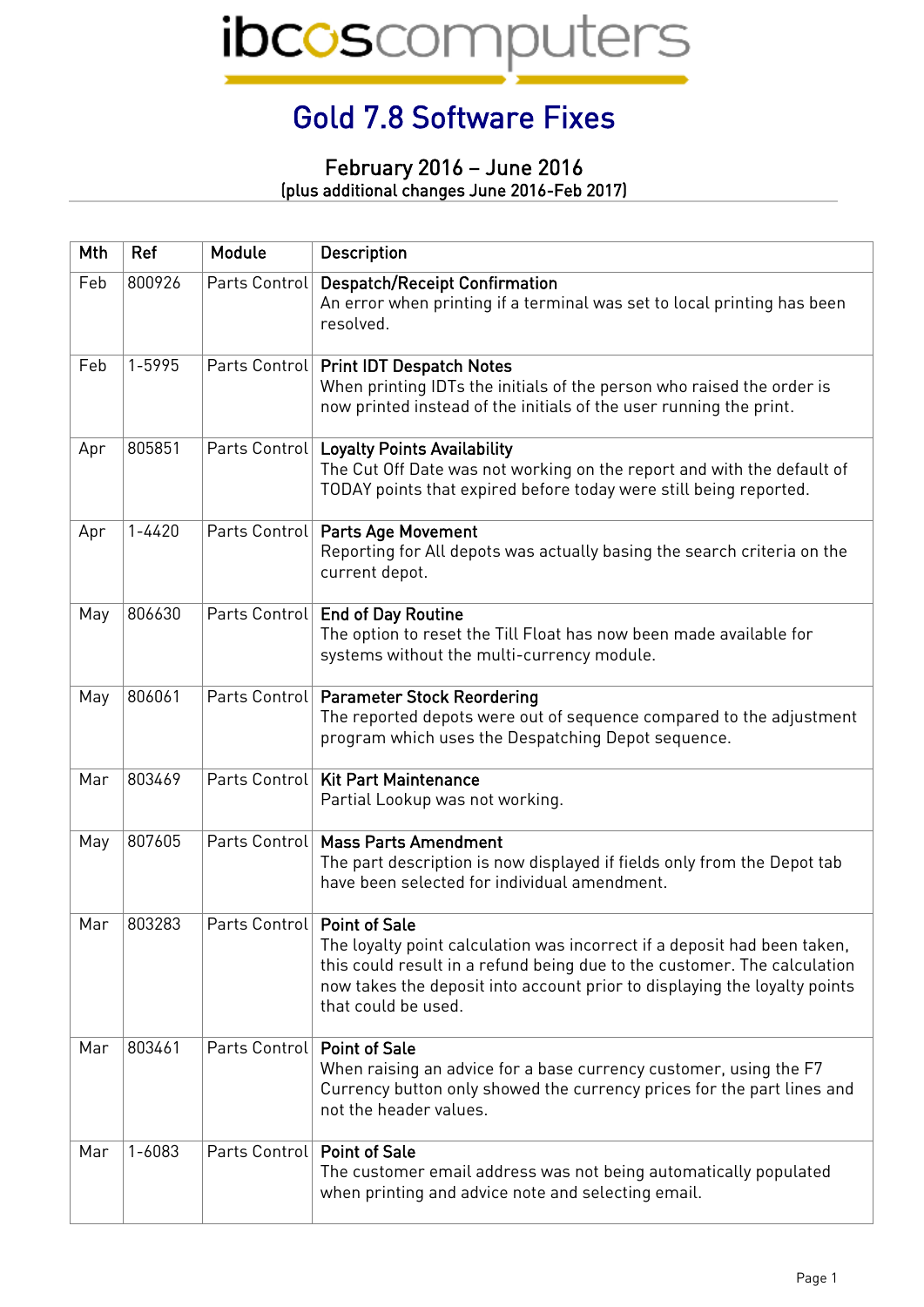## Gold 7.8 Software Fixes

## February 2016 – June 2016 (plus additional changes June 2016-Feb 2017)

| Mth | Ref        | Module                        | <b>Description</b>                                                                                                                                                                                                                                       |
|-----|------------|-------------------------------|----------------------------------------------------------------------------------------------------------------------------------------------------------------------------------------------------------------------------------------------------------|
| Feb | 800926     | Parts Control                 | <b>Despatch/Receipt Confirmation</b><br>An error when printing if a terminal was set to local printing has been<br>resolved.                                                                                                                             |
| Feb | 1-5995     |                               | Parts Control   Print IDT Despatch Notes<br>When printing IDTs the initials of the person who raised the order is<br>now printed instead of the initials of the user running the print.                                                                  |
| Apr | 805851     |                               | Parts Control   Loyalty Points Availability<br>The Cut Off Date was not working on the report and with the default of<br>TODAY points that expired before today were still being reported.                                                               |
| Apr | $1 - 4420$ |                               | Parts Control   Parts Age Movement<br>Reporting for All depots was actually basing the search criteria on the<br>current depot.                                                                                                                          |
| May | 806630     |                               | Parts Control   End of Day Routine<br>The option to reset the Till Float has now been made available for<br>systems without the multi-currency module.                                                                                                   |
| May | 806061     |                               | Parts Control   Parameter Stock Reordering<br>The reported depots were out of sequence compared to the adjustment<br>program which uses the Despatching Depot sequence.                                                                                  |
| Mar | 803469     |                               | Parts Control   Kit Part Maintenance<br>Partial Lookup was not working.                                                                                                                                                                                  |
| May | 807605     | Parts Control                 | <b>Mass Parts Amendment</b><br>The part description is now displayed if fields only from the Depot tab<br>have been selected for individual amendment.                                                                                                   |
| Mar | 803283     | Parts Control   Point of Sale | The loyalty point calculation was incorrect if a deposit had been taken,<br>this could result in a refund being due to the customer. The calculation<br>now takes the deposit into account prior to displaying the loyalty points<br>that could be used. |
| Mar | 803461     | Parts Control Point of Sale   | When raising an advice for a base currency customer, using the F7<br>Currency button only showed the currency prices for the part lines and<br>not the header values.                                                                                    |
| Mar | $1 - 6083$ | Parts Control   Point of Sale | The customer email address was not being automatically populated<br>when printing and advice note and selecting email.                                                                                                                                   |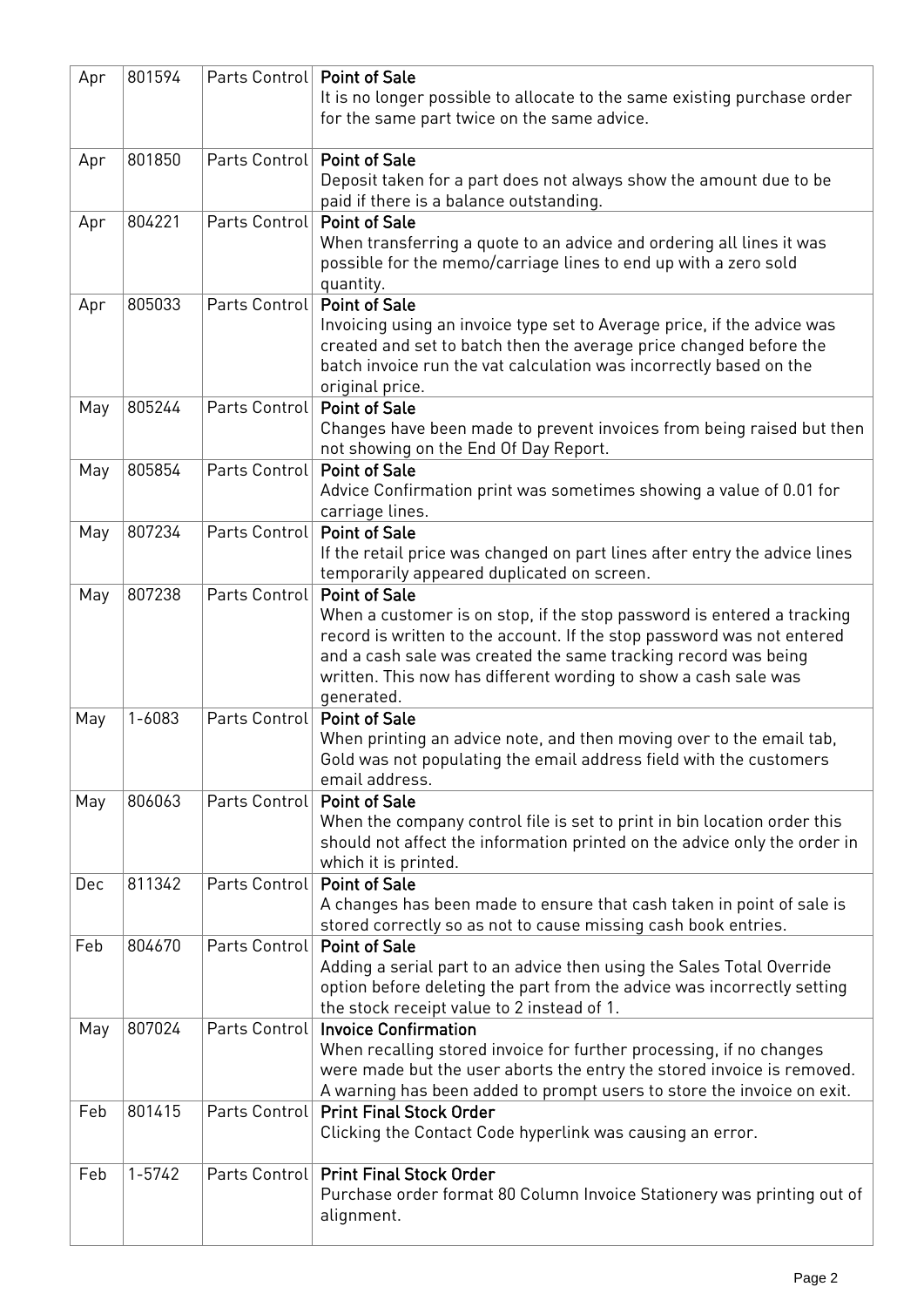| Apr | 801594     | Parts Control   Point of Sale | It is no longer possible to allocate to the same existing purchase order<br>for the same part twice on the same advice.                                                                                                                                                                                                     |
|-----|------------|-------------------------------|-----------------------------------------------------------------------------------------------------------------------------------------------------------------------------------------------------------------------------------------------------------------------------------------------------------------------------|
| Apr | 801850     | Parts Control   Point of Sale | Deposit taken for a part does not always show the amount due to be<br>paid if there is a balance outstanding.                                                                                                                                                                                                               |
| Apr | 804221     | Parts Control                 | <b>Point of Sale</b><br>When transferring a quote to an advice and ordering all lines it was<br>possible for the memo/carriage lines to end up with a zero sold<br>quantity.                                                                                                                                                |
| Apr | 805033     | Parts Control                 | <b>Point of Sale</b><br>Invoicing using an invoice type set to Average price, if the advice was<br>created and set to batch then the average price changed before the<br>batch invoice run the vat calculation was incorrectly based on the<br>original price.                                                              |
| May | 805244     | Parts Control                 | <b>Point of Sale</b><br>Changes have been made to prevent invoices from being raised but then<br>not showing on the End Of Day Report.                                                                                                                                                                                      |
| May | 805854     | Parts Control                 | Point of Sale<br>Advice Confirmation print was sometimes showing a value of 0.01 for<br>carriage lines.                                                                                                                                                                                                                     |
| May | 807234     | Parts Control   Point of Sale | If the retail price was changed on part lines after entry the advice lines<br>temporarily appeared duplicated on screen.                                                                                                                                                                                                    |
| May | 807238     | Parts Control                 | <b>Point of Sale</b><br>When a customer is on stop, if the stop password is entered a tracking<br>record is written to the account. If the stop password was not entered<br>and a cash sale was created the same tracking record was being<br>written. This now has different wording to show a cash sale was<br>generated. |
| May | $1 - 6083$ | Parts Control Point of Sale   | When printing an advice note, and then moving over to the email tab,<br>Gold was not populating the email address field with the customers<br>email address.                                                                                                                                                                |
| May | 806063     | Parts Control                 | <b>Point of Sale</b><br>When the company control file is set to print in bin location order this<br>should not affect the information printed on the advice only the order in<br>which it is printed.                                                                                                                       |
| Dec | 811342     | Parts Control                 | <b>Point of Sale</b><br>A changes has been made to ensure that cash taken in point of sale is<br>stored correctly so as not to cause missing cash book entries.                                                                                                                                                             |
| Feb | 804670     | Parts Control                 | <b>Point of Sale</b><br>Adding a serial part to an advice then using the Sales Total Override<br>option before deleting the part from the advice was incorrectly setting<br>the stock receipt value to 2 instead of 1.                                                                                                      |
| May | 807024     |                               | Parts Control   Invoice Confirmation<br>When recalling stored invoice for further processing, if no changes<br>were made but the user aborts the entry the stored invoice is removed.<br>A warning has been added to prompt users to store the invoice on exit.                                                             |
| Feb | 801415     |                               | Parts Control   Print Final Stock Order<br>Clicking the Contact Code hyperlink was causing an error.                                                                                                                                                                                                                        |
| Feb | $1 - 5742$ |                               | Parts Control   Print Final Stock Order<br>Purchase order format 80 Column Invoice Stationery was printing out of<br>alignment.                                                                                                                                                                                             |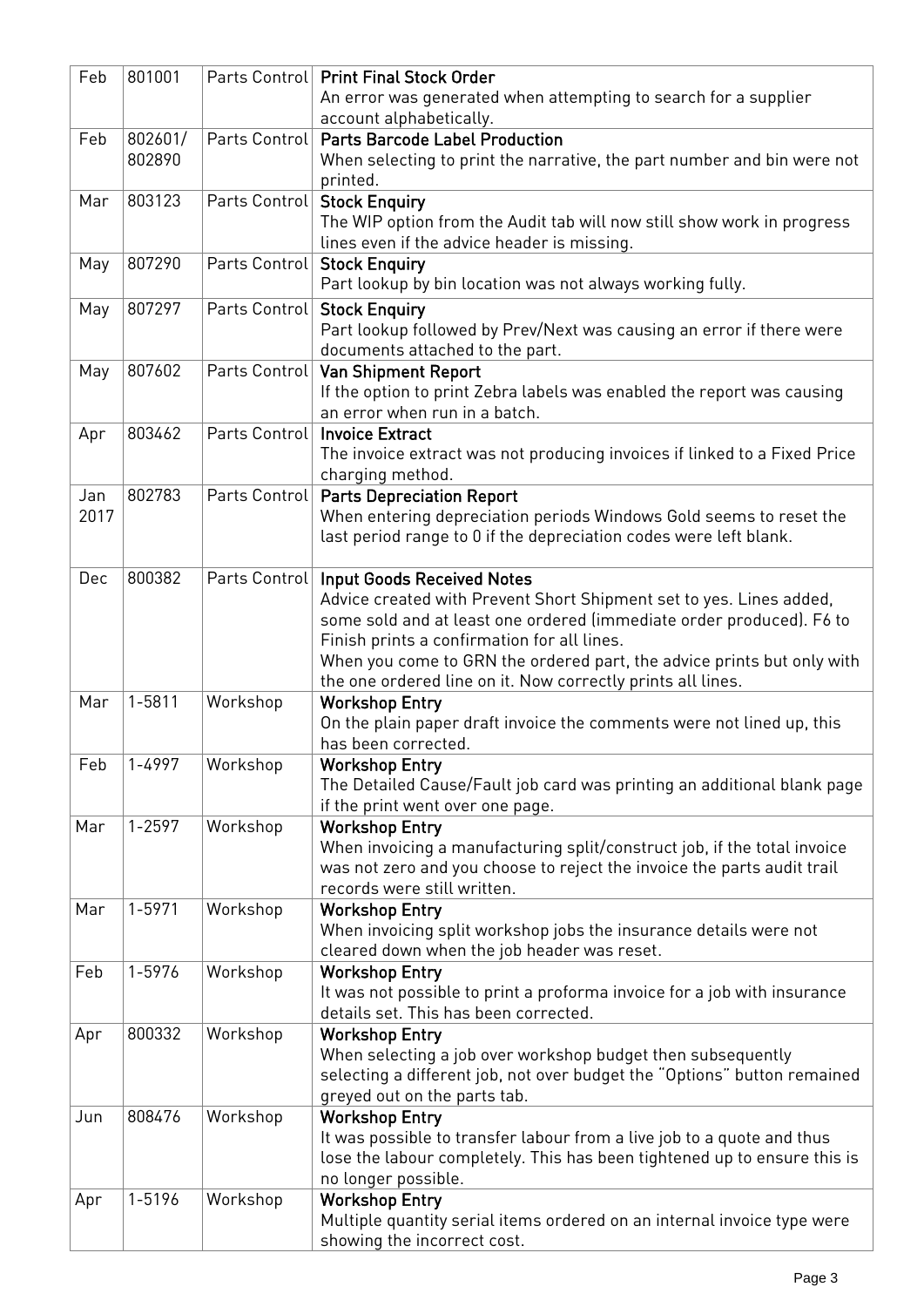| Feb  | 801001     |               | Parts Control   Print Final Stock Order                                                                               |
|------|------------|---------------|-----------------------------------------------------------------------------------------------------------------------|
|      |            |               | An error was generated when attempting to search for a supplier<br>account alphabetically.                            |
| Feb  | 802601/    | Parts Control | <b>Parts Barcode Label Production</b>                                                                                 |
|      | 802890     |               | When selecting to print the narrative, the part number and bin were not<br>printed.                                   |
| Mar  | 803123     | Parts Control | <b>Stock Enquiry</b>                                                                                                  |
|      |            |               | The WIP option from the Audit tab will now still show work in progress<br>lines even if the advice header is missing. |
| May  | 807290     |               | Parts Control   Stock Enquiry                                                                                         |
|      |            |               | Part lookup by bin location was not always working fully.                                                             |
| May  | 807297     |               | Parts Control   Stock Enquiry                                                                                         |
|      |            |               | Part lookup followed by Prev/Next was causing an error if there were                                                  |
|      |            |               | documents attached to the part.                                                                                       |
| May  | 807602     |               | Parts Control   Van Shipment Report                                                                                   |
|      |            |               | If the option to print Zebra labels was enabled the report was causing<br>an error when run in a batch.               |
| Apr  | 803462     | Parts Control | <b>Invoice Extract</b>                                                                                                |
|      |            |               | The invoice extract was not producing invoices if linked to a Fixed Price                                             |
|      |            |               | charging method.                                                                                                      |
| Jan  | 802783     |               | Parts Control   Parts Depreciation Report                                                                             |
| 2017 |            |               | When entering depreciation periods Windows Gold seems to reset the                                                    |
|      |            |               | last period range to 0 if the depreciation codes were left blank.                                                     |
|      |            |               |                                                                                                                       |
| Dec  | 800382     | Parts Control | <b>Input Goods Received Notes</b>                                                                                     |
|      |            |               | Advice created with Prevent Short Shipment set to yes. Lines added,                                                   |
|      |            |               | some sold and at least one ordered (immediate order produced). F6 to                                                  |
|      |            |               | Finish prints a confirmation for all lines.                                                                           |
|      |            |               | When you come to GRN the ordered part, the advice prints but only with                                                |
|      |            |               | the one ordered line on it. Now correctly prints all lines.                                                           |
| Mar  | $1 - 5811$ | Workshop      | <b>Workshop Entry</b>                                                                                                 |
|      |            |               | On the plain paper draft invoice the comments were not lined up, this<br>has been corrected.                          |
| Feb  | 1-4997     | Workshop      | <b>Workshop Entry</b>                                                                                                 |
|      |            |               | The Detailed Cause/Fault job card was printing an additional blank page                                               |
|      |            |               | if the print went over one page.                                                                                      |
| Mar  | $1 - 2597$ | Workshop      | <b>Workshop Entry</b>                                                                                                 |
|      |            |               | When invoicing a manufacturing split/construct job, if the total invoice                                              |
|      |            |               | was not zero and you choose to reject the invoice the parts audit trail                                               |
|      |            |               | records were still written.                                                                                           |
| Mar  | 1-5971     | Workshop      | <b>Workshop Entry</b>                                                                                                 |
|      |            |               | When invoicing split workshop jobs the insurance details were not                                                     |
|      |            |               | cleared down when the job header was reset.                                                                           |
| Feb  | 1-5976     | Workshop      | <b>Workshop Entry</b>                                                                                                 |
|      |            |               | It was not possible to print a proforma invoice for a job with insurance                                              |
|      |            |               | details set. This has been corrected.                                                                                 |
| Apr  | 800332     | Workshop      | <b>Workshop Entry</b>                                                                                                 |
|      |            |               | When selecting a job over workshop budget then subsequently                                                           |
|      |            |               | selecting a different job, not over budget the "Options" button remained                                              |
|      | 808476     |               | greyed out on the parts tab.                                                                                          |
| Jun  |            | Workshop      | <b>Workshop Entry</b><br>It was possible to transfer labour from a live job to a quote and thus                       |
|      |            |               | lose the labour completely. This has been tightened up to ensure this is                                              |
|      |            |               | no longer possible.                                                                                                   |
| Apr  | 1-5196     | Workshop      | <b>Workshop Entry</b>                                                                                                 |
|      |            |               | Multiple quantity serial items ordered on an internal invoice type were                                               |
|      |            |               | showing the incorrect cost.                                                                                           |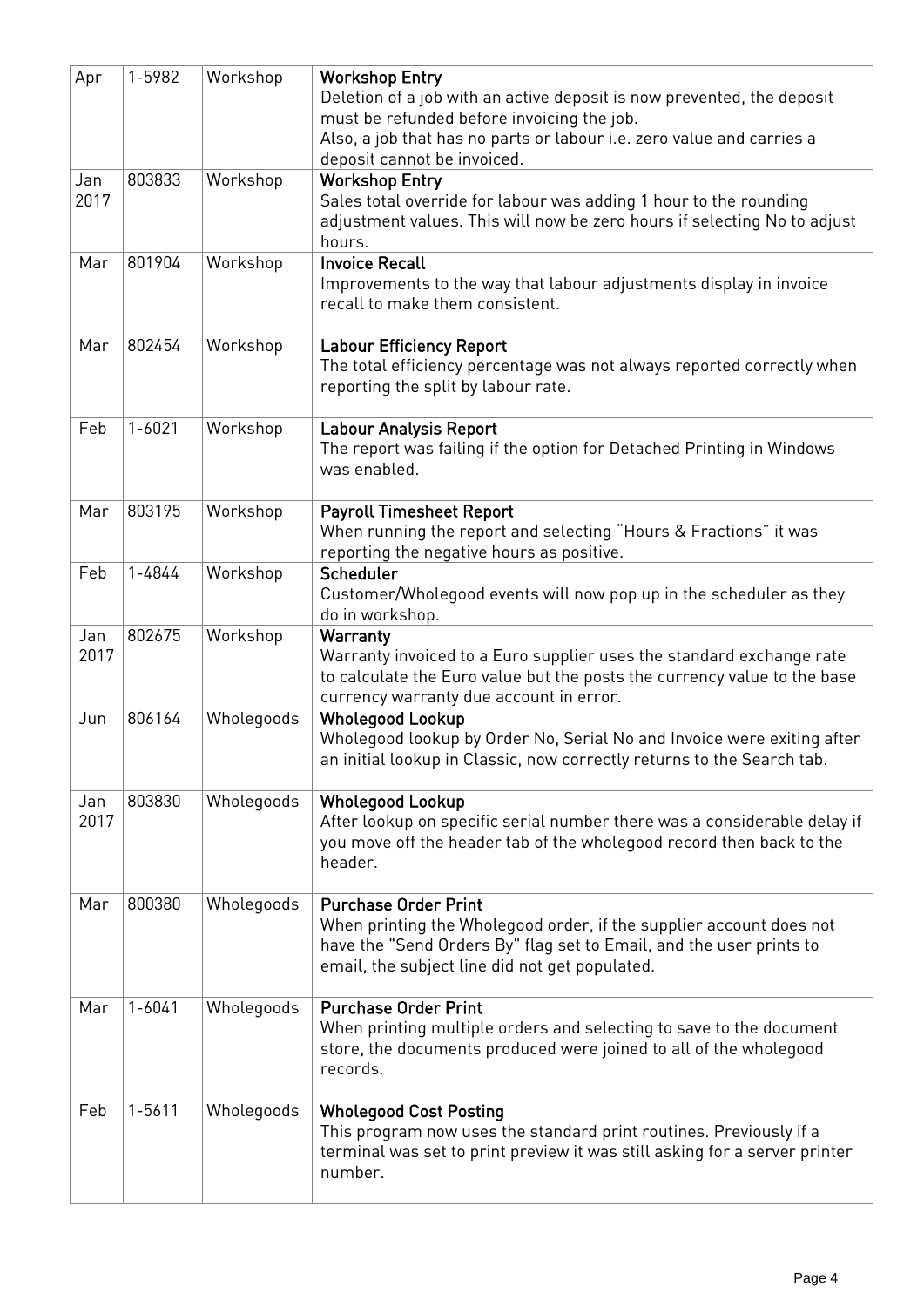| Apr         | 1-5982     | Workshop   | <b>Workshop Entry</b><br>Deletion of a job with an active deposit is now prevented, the deposit<br>must be refunded before invoicing the job.<br>Also, a job that has no parts or labour i.e. zero value and carries a<br>deposit cannot be invoiced. |
|-------------|------------|------------|-------------------------------------------------------------------------------------------------------------------------------------------------------------------------------------------------------------------------------------------------------|
| Jan<br>2017 | 803833     | Workshop   | <b>Workshop Entry</b><br>Sales total override for labour was adding 1 hour to the rounding<br>adjustment values. This will now be zero hours if selecting No to adjust<br>hours.                                                                      |
| Mar         | 801904     | Workshop   | <b>Invoice Recall</b><br>Improvements to the way that labour adjustments display in invoice<br>recall to make them consistent.                                                                                                                        |
| Mar         | 802454     | Workshop   | <b>Labour Efficiency Report</b><br>The total efficiency percentage was not always reported correctly when<br>reporting the split by labour rate.                                                                                                      |
| Feb         | $1 - 6021$ | Workshop   | <b>Labour Analysis Report</b><br>The report was failing if the option for Detached Printing in Windows<br>was enabled.                                                                                                                                |
| Mar         | 803195     | Workshop   | <b>Payroll Timesheet Report</b><br>When running the report and selecting "Hours & Fractions" it was<br>reporting the negative hours as positive.                                                                                                      |
| Feb         | 1-4844     | Workshop   | Scheduler<br>Customer/Wholegood events will now pop up in the scheduler as they<br>do in workshop.                                                                                                                                                    |
| Jan<br>2017 | 802675     | Workshop   | Warranty<br>Warranty invoiced to a Euro supplier uses the standard exchange rate<br>to calculate the Euro value but the posts the currency value to the base<br>currency warranty due account in error.                                               |
| Jun         | 806164     | Wholegoods | <b>Wholegood Lookup</b><br>Wholegood lookup by Order No, Serial No and Invoice were exiting after<br>an initial lookup in Classic, now correctly returns to the Search tab.                                                                           |
| Jan<br>2017 | 803830     | Wholegoods | <b>Wholegood Lookup</b><br>After lookup on specific serial number there was a considerable delay if<br>you move off the header tab of the wholegood record then back to the<br>header.                                                                |
| Mar         | 800380     | Wholegoods | <b>Purchase Order Print</b><br>When printing the Wholegood order, if the supplier account does not<br>have the "Send Orders By" flag set to Email, and the user prints to<br>email, the subject line did not get populated.                           |
| Mar         | $1 - 6041$ | Wholegoods | <b>Purchase Order Print</b><br>When printing multiple orders and selecting to save to the document<br>store, the documents produced were joined to all of the wholegood<br>records.                                                                   |
| Feb         | $1 - 5611$ | Wholegoods | <b>Wholegood Cost Posting</b><br>This program now uses the standard print routines. Previously if a<br>terminal was set to print preview it was still asking for a server printer<br>number.                                                          |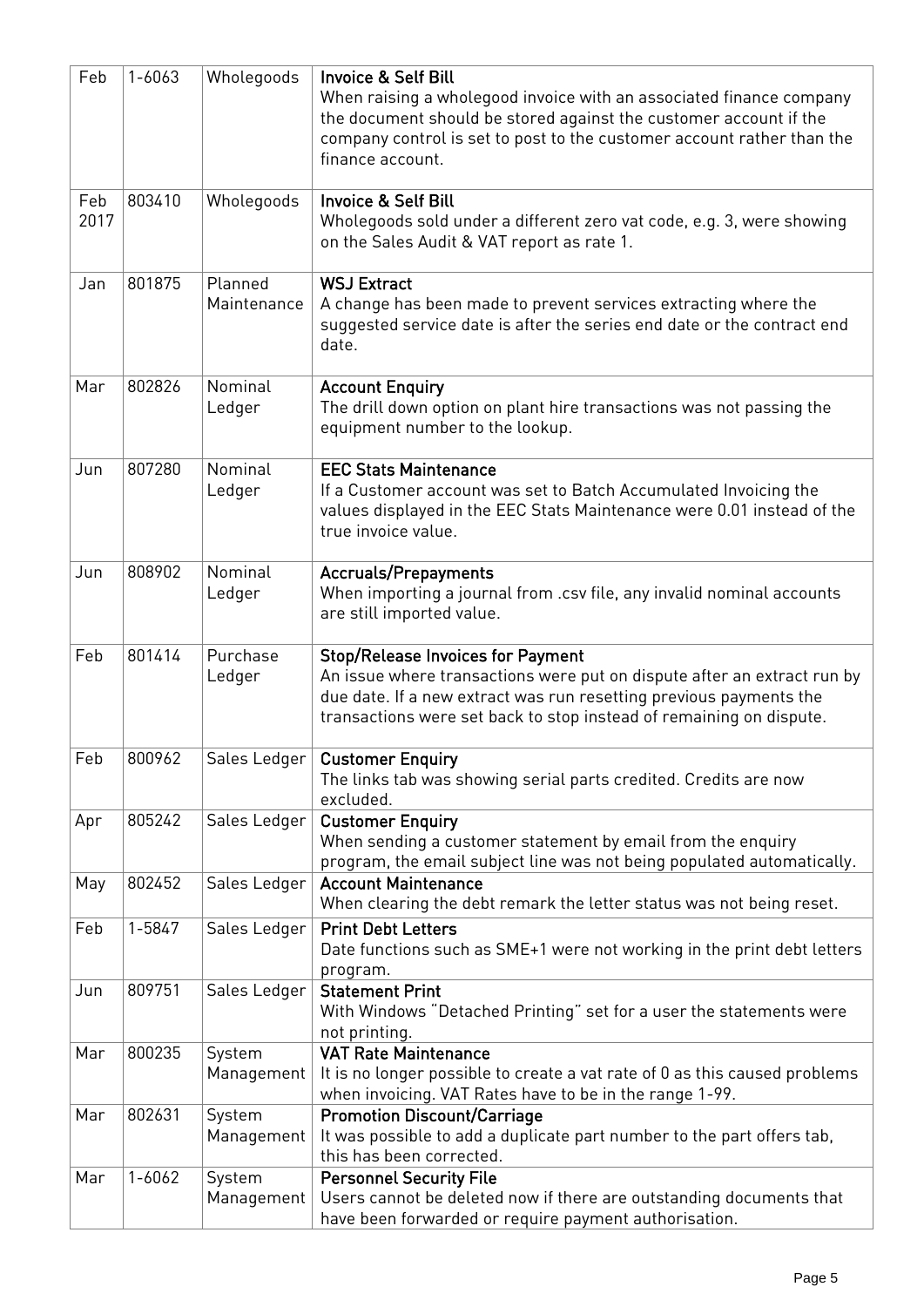| Feb         | $1 - 6063$ | Wholegoods             | <b>Invoice &amp; Self Bill</b><br>When raising a wholegood invoice with an associated finance company<br>the document should be stored against the customer account if the<br>company control is set to post to the customer account rather than the<br>finance account. |
|-------------|------------|------------------------|--------------------------------------------------------------------------------------------------------------------------------------------------------------------------------------------------------------------------------------------------------------------------|
| Feb<br>2017 | 803410     | Wholegoods             | <b>Invoice &amp; Self Bill</b><br>Wholegoods sold under a different zero vat code, e.g. 3, were showing<br>on the Sales Audit & VAT report as rate 1.                                                                                                                    |
| Jan         | 801875     | Planned<br>Maintenance | <b>WSJ Extract</b><br>A change has been made to prevent services extracting where the<br>suggested service date is after the series end date or the contract end<br>date.                                                                                                |
| Mar         | 802826     | Nominal<br>Ledger      | <b>Account Enquiry</b><br>The drill down option on plant hire transactions was not passing the<br>equipment number to the lookup.                                                                                                                                        |
| Jun         | 807280     | Nominal<br>Ledger      | <b>EEC Stats Maintenance</b><br>If a Customer account was set to Batch Accumulated Invoicing the<br>values displayed in the EEC Stats Maintenance were 0.01 instead of the<br>true invoice value.                                                                        |
| Jun         | 808902     | Nominal<br>Ledger      | <b>Accruals/Prepayments</b><br>When importing a journal from .csv file, any invalid nominal accounts<br>are still imported value.                                                                                                                                        |
| Feb         | 801414     | Purchase<br>Ledger     | <b>Stop/Release Invoices for Payment</b><br>An issue where transactions were put on dispute after an extract run by<br>due date. If a new extract was run resetting previous payments the<br>transactions were set back to stop instead of remaining on dispute.         |
| Feb         | 800962     |                        | Sales Ledger   Customer Enquiry<br>The links tab was showing serial parts credited. Credits are now<br>excluded.                                                                                                                                                         |
| Apr         | 805242     | Sales Ledger           | <b>Customer Enquiry</b><br>When sending a customer statement by email from the enquiry<br>program, the email subject line was not being populated automatically.                                                                                                         |
| May         | 802452     | Sales Ledger           | <b>Account Maintenance</b><br>When clearing the debt remark the letter status was not being reset.                                                                                                                                                                       |
| Feb         | 1-5847     | Sales Ledger           | <b>Print Debt Letters</b><br>Date functions such as SME+1 were not working in the print debt letters<br>program.                                                                                                                                                         |
| Jun         | 809751     | Sales Ledger           | <b>Statement Print</b><br>With Windows "Detached Printing" set for a user the statements were<br>not printing.                                                                                                                                                           |
| Mar         | 800235     | System<br>Management   | <b>VAT Rate Maintenance</b><br>It is no longer possible to create a vat rate of 0 as this caused problems<br>when invoicing. VAT Rates have to be in the range 1-99.                                                                                                     |
| Mar         | 802631     | System<br>Management   | <b>Promotion Discount/Carriage</b><br>It was possible to add a duplicate part number to the part offers tab,<br>this has been corrected.                                                                                                                                 |
| Mar         | $1 - 6062$ | System<br>Management   | <b>Personnel Security File</b><br>Users cannot be deleted now if there are outstanding documents that<br>have been forwarded or require payment authorisation.                                                                                                           |